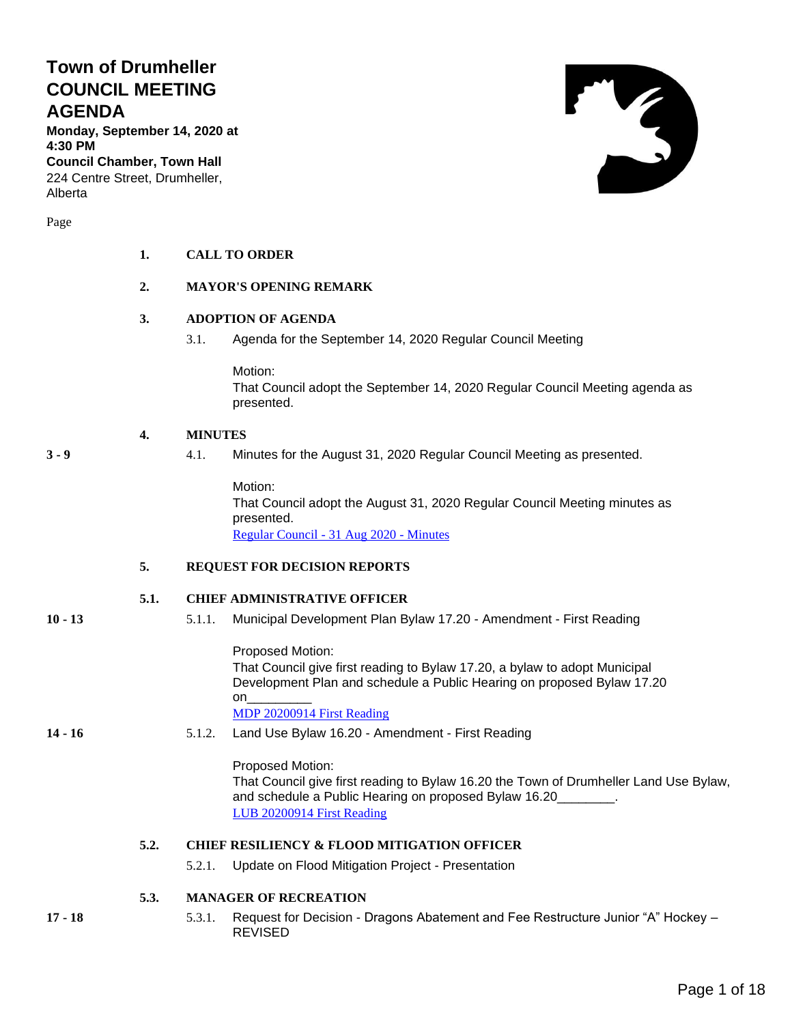## **Town of Drumheller COUNCIL MEETING AGENDA**

**Monday, September 14, 2020 at 4:30 PM**

**Council Chamber, Town Hall** 224 Centre Street, Drumheller, Alberta

Page

# **1. CALL TO ORDER**

## **2. MAYOR'S OPENING REMARK**

## **3. ADOPTION OF AGENDA**

3.1. Agenda for the September 14, 2020 Regular Council Meeting

Motion: That Council adopt the September 14, 2020 Regular Council Meeting agenda as presented.

## **4. MINUTES**

**3 - 9** 4.1. Minutes for the August 31, 2020 Regular Council Meeting as presented.

Motion: That Council adopt the August 31, 2020 Regular Council Meeting minutes as presented. [Regular Council -](#page-2-0) 31 Aug 2020 - Minutes

#### **5. REQUEST FOR DECISION REPORTS**

### **5.1. CHIEF ADMINISTRATIVE OFFICER**

- 
- **10 - 13** 5.1.1. Municipal Development Plan Bylaw 17.20 Amendment First Reading

Proposed Motion: That Council give first reading to Bylaw 17.20, a bylaw to adopt Municipal Development Plan and schedule a Public Hearing on proposed Bylaw 17.20 on\_\_\_\_\_\_\_\_\_ [MDP 20200914 First Reading](#page-9-0)

## **14 - 16** 5.1.2. Land Use Bylaw 16.20 - Amendment - First Reading

Proposed Motion:

That Council give first reading to Bylaw 16.20 the Town of Drumheller Land Use Bylaw, and schedule a Public Hearing on proposed Bylaw 16.20 [LUB 20200914 First Reading](#page-13-0)

### **5.2. CHIEF RESILIENCY & FLOOD MITIGATION OFFICER**

5.2.1. Update on Flood Mitigation Project - Presentation

**5.3. MANAGER OF RECREATION**

**17 - 18** 5.3.1. Request for Decision - Dragons Abatement and Fee Restructure Junior "A" Hockey – REVISED

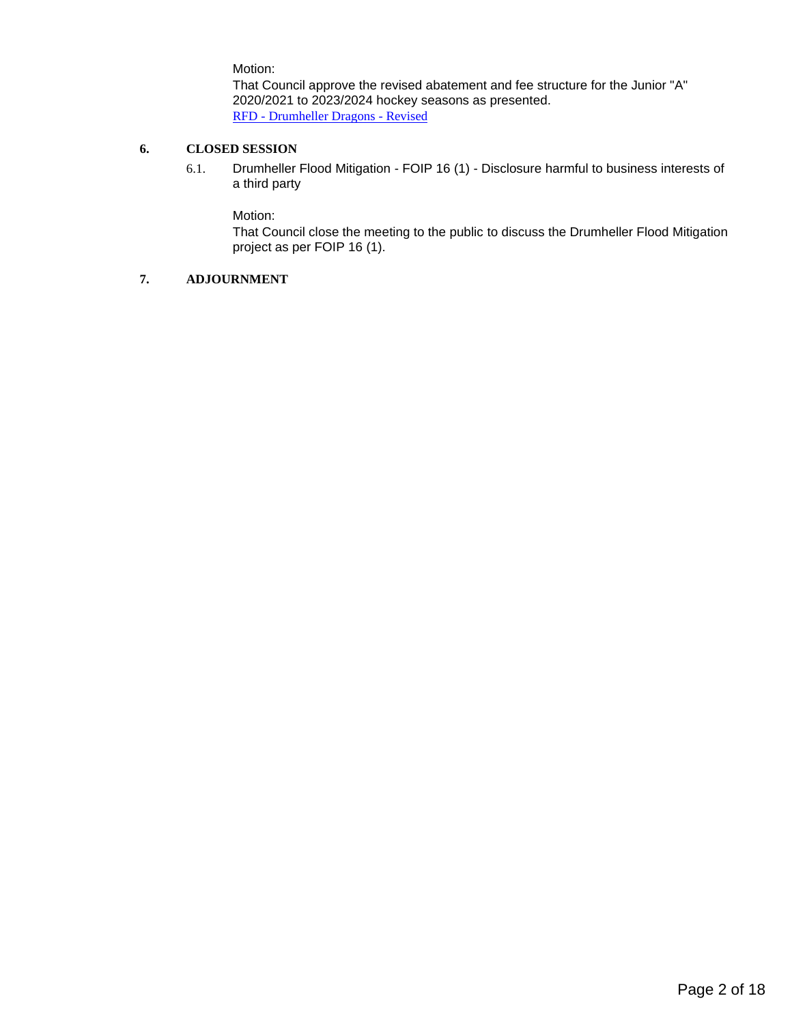Motion:

That Council approve the revised abatement and fee structure for the Junior "A" 2020/2021 to 2023/2024 hockey seasons as presented. RFD - [Drumheller Dragons -](#page-16-0) Revised

### **6. CLOSED SESSION**

6.1. Drumheller Flood Mitigation - FOIP 16 (1) - Disclosure harmful to business interests of a third party

Motion:

That Council close the meeting to the public to discuss the Drumheller Flood Mitigation project as per FOIP 16 (1).

### **7. ADJOURNMENT**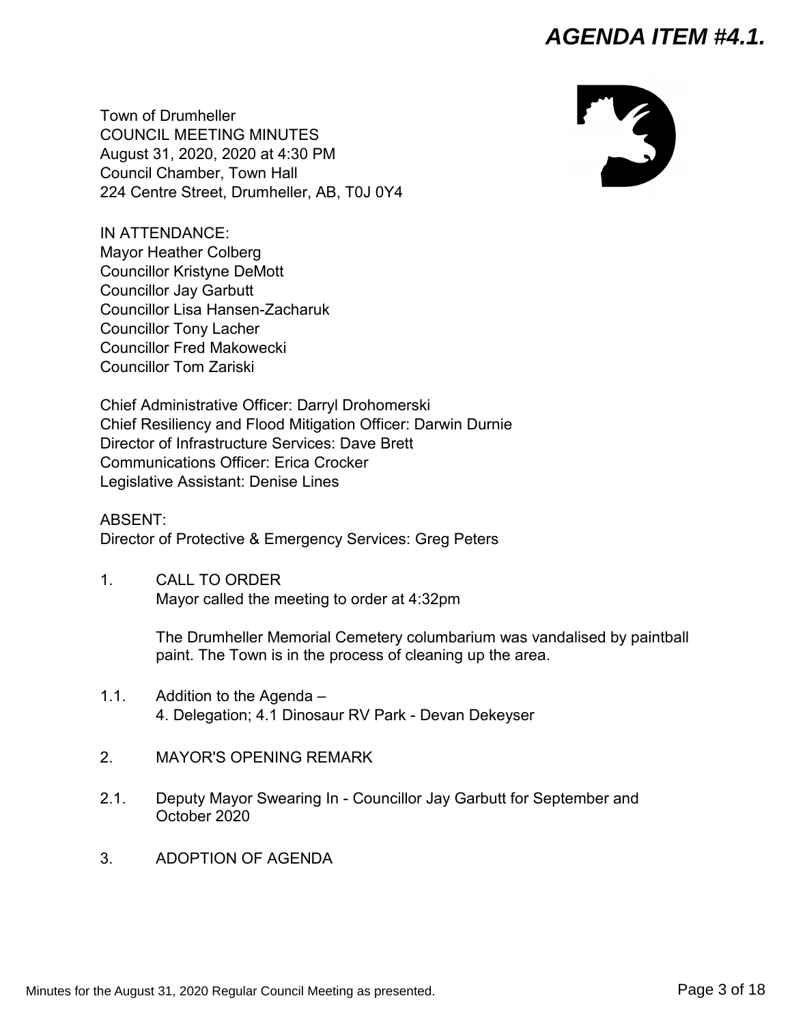<span id="page-2-0"></span>Town of Drumheller COUNCIL MEETING MINUTES August 31, 2020, 2020 at 4:30 PM Council Chamber, Town Hall 224 Centre Street, Drumheller, AB, T0J 0Y4

IN ATTENDANCE: Mayor Heather Colberg Councillor Kristyne DeMott Councillor Jay Garbutt Councillor Lisa Hansen-Zacharuk Councillor Tony Lacher Councillor Fred Makowecki Councillor Tom Zariski

Chief Administrative Officer: Darryl Drohomerski Chief Resiliency and Flood Mitigation Officer: Darwin Durnie Director of Infrastructure Services: Dave Brett Communications Officer: Erica Crocker Legislative Assistant: Denise Lines

ABSENT: Director of Protective & Emergency Services: Greg Peters

1. CALL TO ORDER Mayor called the meeting to order at 4:32pm

> The Drumheller Memorial Cemetery columbarium was vandalised by paintball paint. The Town is in the process of cleaning up the area.

- 1.1. Addition to the Agenda 4. Delegation; 4.1 Dinosaur RV Park - Devan Dekeyser
- 2. MAYOR'S OPENING REMARK
- 2.1. Deputy Mayor Swearing In Councillor Jay Garbutt for September and October 2020
- 3. ADOPTION OF AGENDA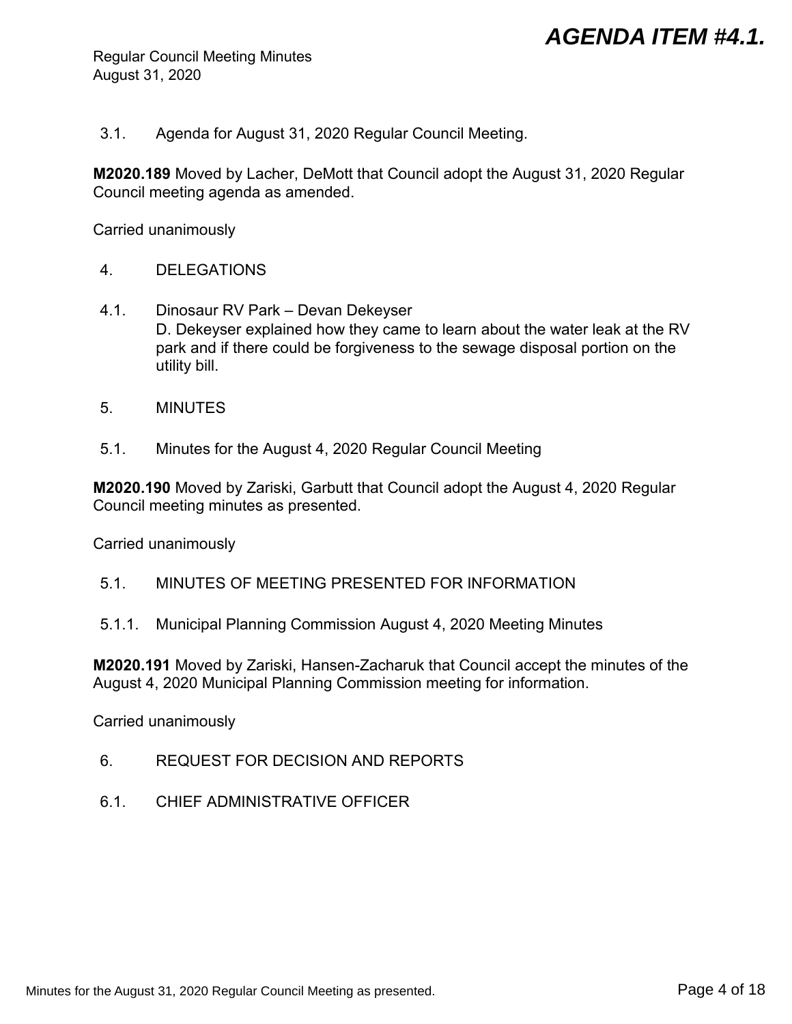Regular Council Meeting Minutes August 31, 2020

3.1. Agenda for August 31, 2020 Regular Council Meeting.

**M2020.189** Moved by Lacher, DeMott that Council adopt the August 31, 2020 Regular Council meeting agenda as amended.

Carried unanimously

- 4. DELEGATIONS
- 4.1. Dinosaur RV Park Devan Dekeyser D. Dekeyser explained how they came to learn about the water leak at the RV park and if there could be forgiveness to the sewage disposal portion on the utility bill.
- 5. MINUTES
- 5.1. Minutes for the August 4, 2020 Regular Council Meeting

**M2020.190** Moved by Zariski, Garbutt that Council adopt the August 4, 2020 Regular Council meeting minutes as presented.

Carried unanimously

- 5.1. MINUTES OF MEETING PRESENTED FOR INFORMATION
- 5.1.1. Municipal Planning Commission August 4, 2020 Meeting Minutes

**M2020.191** Moved by Zariski, Hansen-Zacharuk that Council accept the minutes of the August 4, 2020 Municipal Planning Commission meeting for information.

Carried unanimously

- 6. REQUEST FOR DECISION AND REPORTS
- 6.1. CHIEF ADMINISTRATIVE OFFICER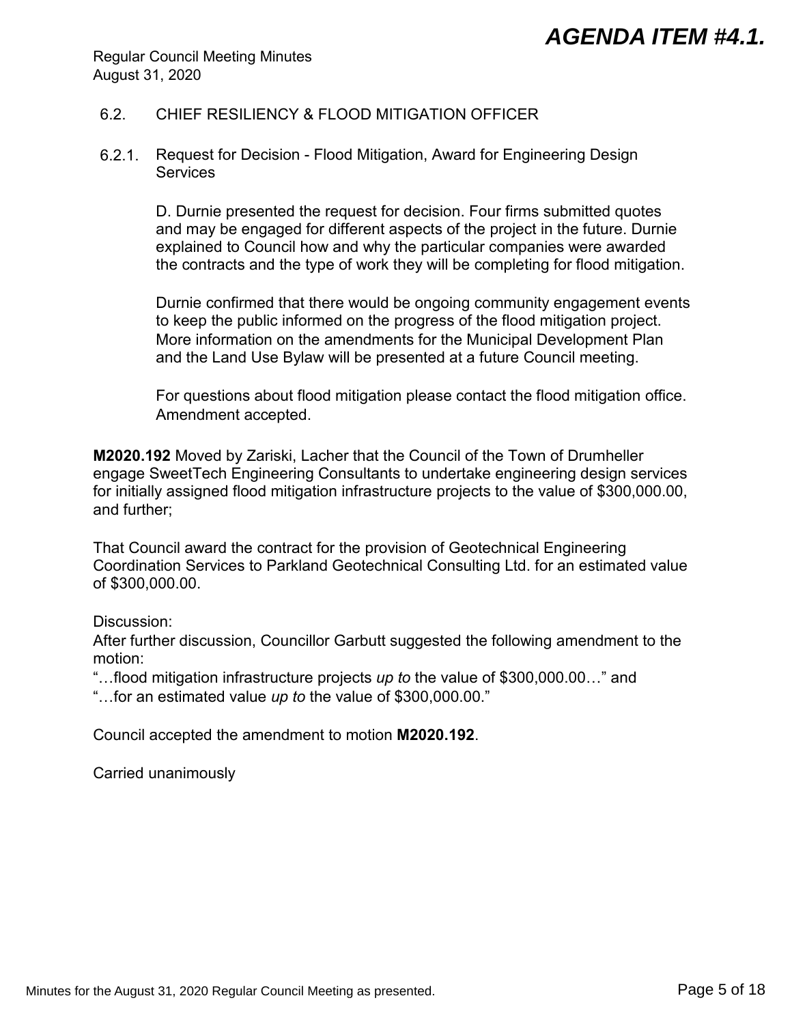Regular Council Meeting Minutes August 31, 2020

## 6.2. CHIEF RESILIENCY & FLOOD MITIGATION OFFICER

6.2.1. Request for Decision - Flood Mitigation, Award for Engineering Design **Services** 

> D. Durnie presented the request for decision. Four firms submitted quotes and may be engaged for different aspects of the project in the future. Durnie explained to Council how and why the particular companies were awarded the contracts and the type of work they will be completing for flood mitigation.

Durnie confirmed that there would be ongoing community engagement events to keep the public informed on the progress of the flood mitigation project. More information on the amendments for the Municipal Development Plan and the Land Use Bylaw will be presented at a future Council meeting.

For questions about flood mitigation please contact the flood mitigation office. Amendment accepted.

**M2020.192** Moved by Zariski, Lacher that the Council of the Town of Drumheller engage SweetTech Engineering Consultants to undertake engineering design services for initially assigned flood mitigation infrastructure projects to the value of \$300,000.00, and further;

That Council award the contract for the provision of Geotechnical Engineering Coordination Services to Parkland Geotechnical Consulting Ltd. for an estimated value of \$300,000.00.

Discussion:

After further discussion, Councillor Garbutt suggested the following amendment to the motion:

"…flood mitigation infrastructure projects *up to* the value of \$300,000.00…" and

"…for an estimated value *up to* the value of \$300,000.00."

Council accepted the amendment to motion **M2020.192**.

Carried unanimously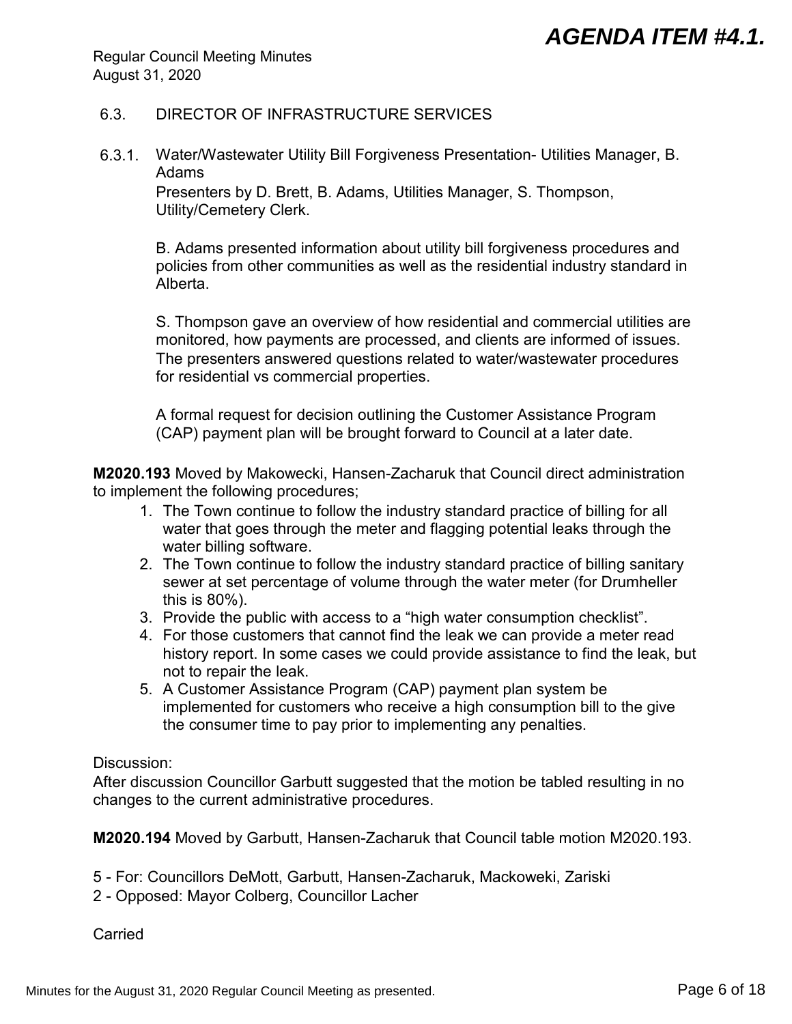Regular Council Meeting Minutes August 31, 2020

## 6.3. DIRECTOR OF INFRASTRUCTURE SERVICES

6.3.1. Water/Wastewater Utility Bill Forgiveness Presentation- Utilities Manager, B. Adams

Presenters by D. Brett, B. Adams, Utilities Manager, S. Thompson, Utility/Cemetery Clerk.

B. Adams presented information about utility bill forgiveness procedures and policies from other communities as well as the residential industry standard in Alberta.

S. Thompson gave an overview of how residential and commercial utilities are monitored, how payments are processed, and clients are informed of issues. The presenters answered questions related to water/wastewater procedures for residential vs commercial properties.

A formal request for decision outlining the Customer Assistance Program (CAP) payment plan will be brought forward to Council at a later date.

**M2020.193** Moved by Makowecki, Hansen-Zacharuk that Council direct administration to implement the following procedures;

- 1. The Town continue to follow the industry standard practice of billing for all water that goes through the meter and flagging potential leaks through the water billing software.
- 2. The Town continue to follow the industry standard practice of billing sanitary sewer at set percentage of volume through the water meter (for Drumheller this is 80%).
- 3. Provide the public with access to a "high water consumption checklist".
- 4. For those customers that cannot find the leak we can provide a meter read history report. In some cases we could provide assistance to find the leak, but not to repair the leak.
- 5. A Customer Assistance Program (CAP) payment plan system be implemented for customers who receive a high consumption bill to the give the consumer time to pay prior to implementing any penalties.

## Discussion:

After discussion Councillor Garbutt suggested that the motion be tabled resulting in no changes to the current administrative procedures.

**M2020.194** Moved by Garbutt, Hansen-Zacharuk that Council table motion M2020.193.

- 5 For: Councillors DeMott, Garbutt, Hansen-Zacharuk, Mackoweki, Zariski
- 2 Opposed: Mayor Colberg, Councillor Lacher

**Carried**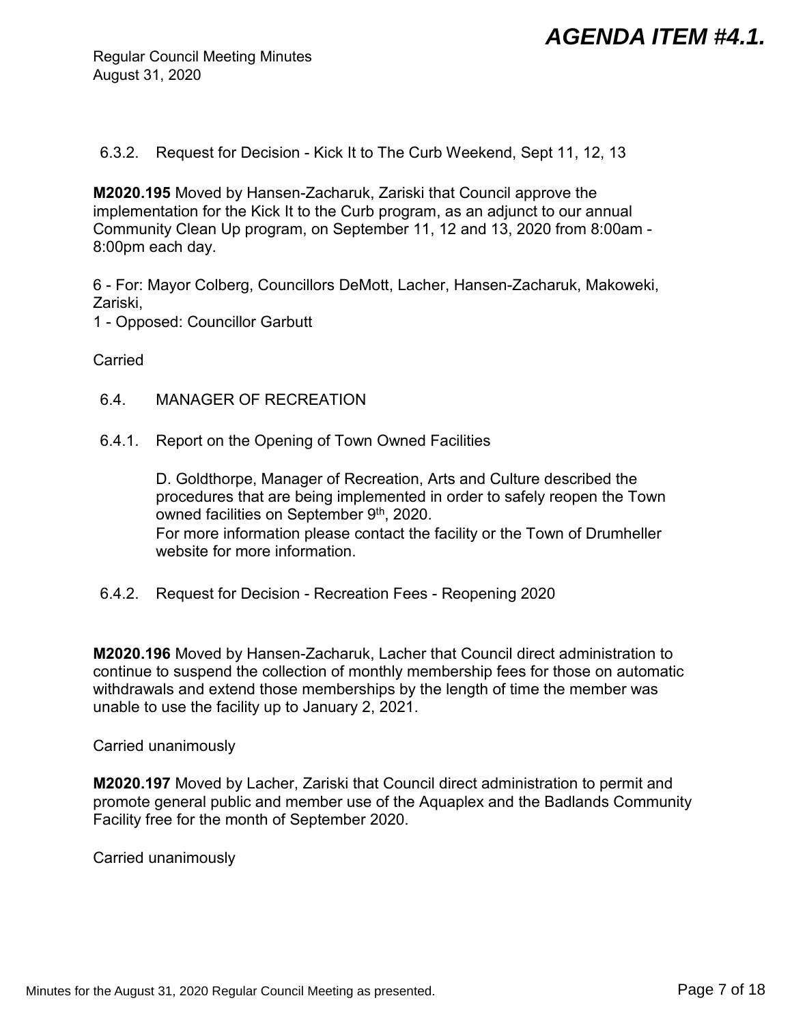Regular Council Meeting Minutes August 31, 2020

6.3.2. Request for Decision - Kick It to The Curb Weekend, Sept 11, 12, 13

**M2020.195** Moved by Hansen-Zacharuk, Zariski that Council approve the implementation for the Kick It to the Curb program, as an adjunct to our annual Community Clean Up program, on September 11, 12 and 13, 2020 from 8:00am - 8:00pm each day.

6 - For: Mayor Colberg, Councillors DeMott, Lacher, Hansen-Zacharuk, Makoweki, Zariski,

1 - Opposed: Councillor Garbutt

**Carried** 

- 6.4. MANAGER OF RECREATION
- 6.4.1. Report on the Opening of Town Owned Facilities

D. Goldthorpe, Manager of Recreation, Arts and Culture described the procedures that are being implemented in order to safely reopen the Town owned facilities on September  $9<sup>th</sup>$ , 2020. For more information please contact the facility or the Town of Drumheller website for more information.

6.4.2. Request for Decision - Recreation Fees - Reopening 2020

**M2020.196** Moved by Hansen-Zacharuk, Lacher that Council direct administration to continue to suspend the collection of monthly membership fees for those on automatic withdrawals and extend those memberships by the length of time the member was unable to use the facility up to January 2, 2021.

Carried unanimously

**M2020.197** Moved by Lacher, Zariski that Council direct administration to permit and promote general public and member use of the Aquaplex and the Badlands Community Facility free for the month of September 2020.

Carried unanimously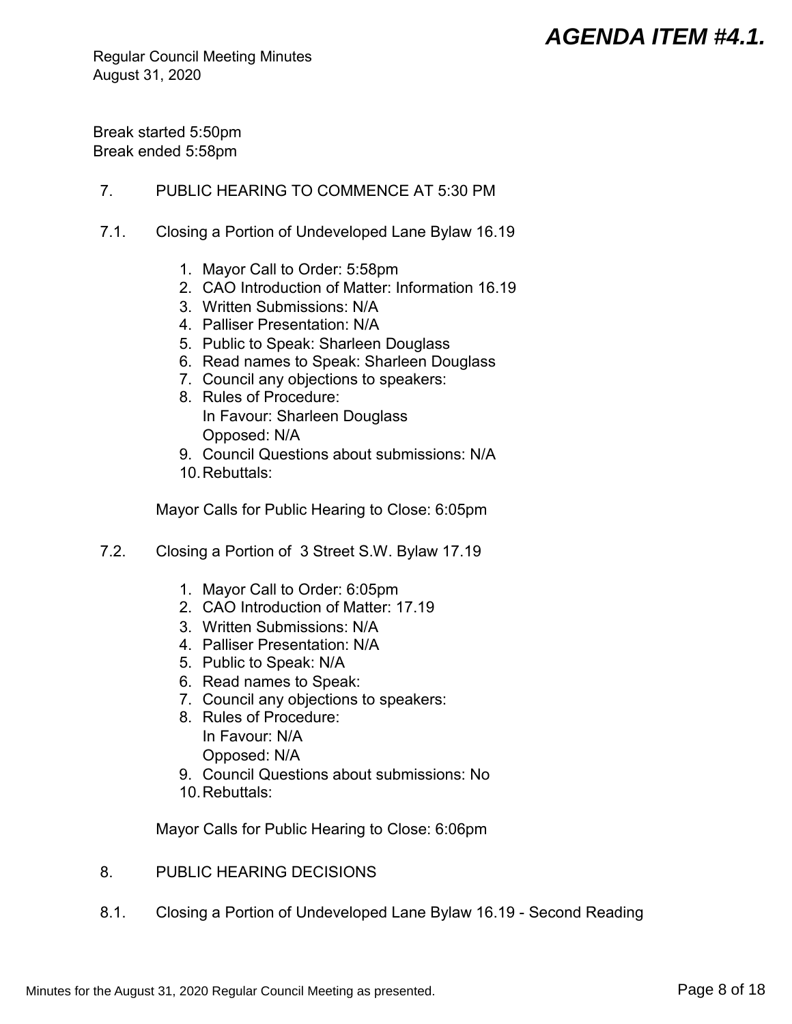Regular Council Meeting Minutes August 31, 2020

Break started 5:50pm Break ended 5:58pm

## 7. PUBLIC HEARING TO COMMENCE AT 5:30 PM

- 7.1. Closing a Portion of Undeveloped Lane Bylaw 16.19
	- 1. Mayor Call to Order: 5:58pm
	- 2. CAO Introduction of Matter: Information 16.19
	- 3. Written Submissions: N/A
	- 4. Palliser Presentation: N/A
	- 5. Public to Speak: Sharleen Douglass
	- 6. Read names to Speak: Sharleen Douglass
	- 7. Council any objections to speakers:
	- 8. Rules of Procedure: In Favour: Sharleen Douglass Opposed: N/A
	- 9. Council Questions about submissions: N/A
	- 10.Rebuttals:

Mayor Calls for Public Hearing to Close: 6:05pm

- 7.2. Closing a Portion of 3 Street S.W. Bylaw 17.19
	- 1. Mayor Call to Order: 6:05pm
	- 2. CAO Introduction of Matter: 17.19
	- 3. Written Submissions: N/A
	- 4. Palliser Presentation: N/A
	- 5. Public to Speak: N/A
	- 6. Read names to Speak:
	- 7. Council any objections to speakers:
	- 8. Rules of Procedure: In Favour: N/A Opposed: N/A
	- 9. Council Questions about submissions: No
	- 10.Rebuttals:

Mayor Calls for Public Hearing to Close: 6:06pm

- 8. PUBLIC HEARING DECISIONS
- 8.1. Closing a Portion of Undeveloped Lane Bylaw 16.19 Second Reading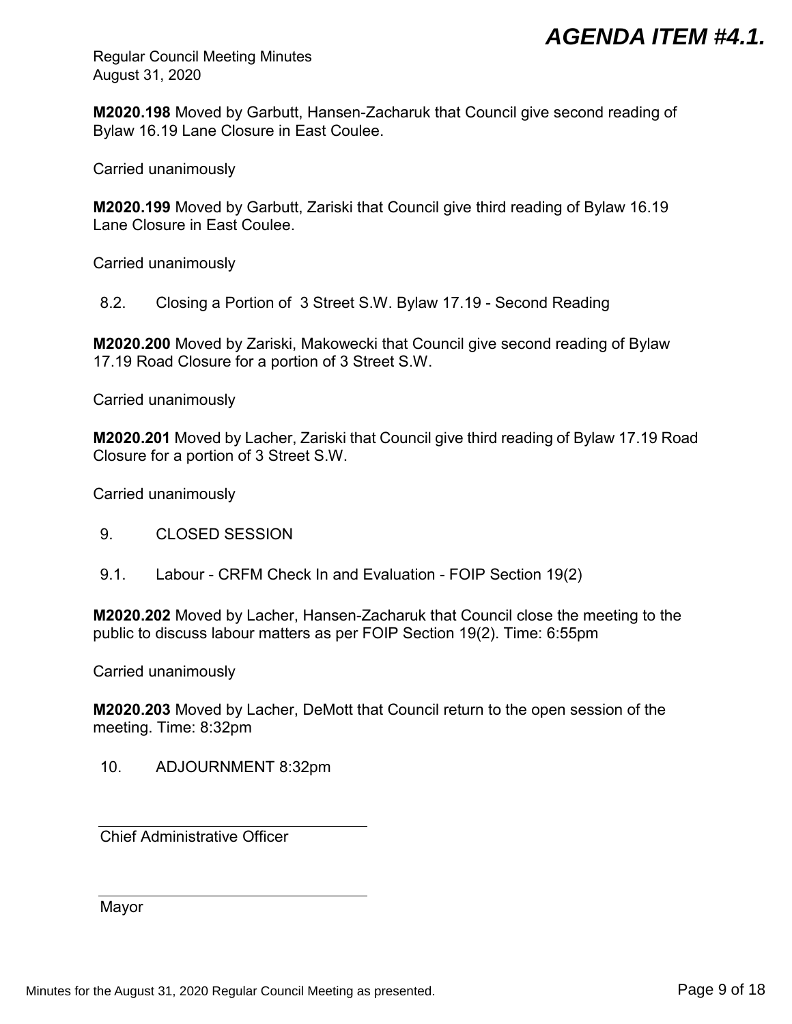Regular Council Meeting Minutes August 31, 2020

**M2020.198** Moved by Garbutt, Hansen-Zacharuk that Council give second reading of Bylaw 16.19 Lane Closure in East Coulee.

Carried unanimously

**M2020.199** Moved by Garbutt, Zariski that Council give third reading of Bylaw 16.19 Lane Closure in East Coulee.

Carried unanimously

8.2. Closing a Portion of 3 Street S.W. Bylaw 17.19 - Second Reading

**M2020.200** Moved by Zariski, Makowecki that Council give second reading of Bylaw 17.19 Road Closure for a portion of 3 Street S.W.

Carried unanimously

**M2020.201** Moved by Lacher, Zariski that Council give third reading of Bylaw 17.19 Road Closure for a portion of 3 Street S.W.

Carried unanimously

- 9. CLOSED SESSION
- 9.1. Labour CRFM Check In and Evaluation FOIP Section 19(2)

**M2020.202** Moved by Lacher, Hansen-Zacharuk that Council close the meeting to the public to discuss labour matters as per FOIP Section 19(2). Time: 6:55pm

Carried unanimously

**M2020.203** Moved by Lacher, DeMott that Council return to the open session of the meeting. Time: 8:32pm

10. ADJOURNMENT 8:32pm

Chief Administrative Officer

Mayor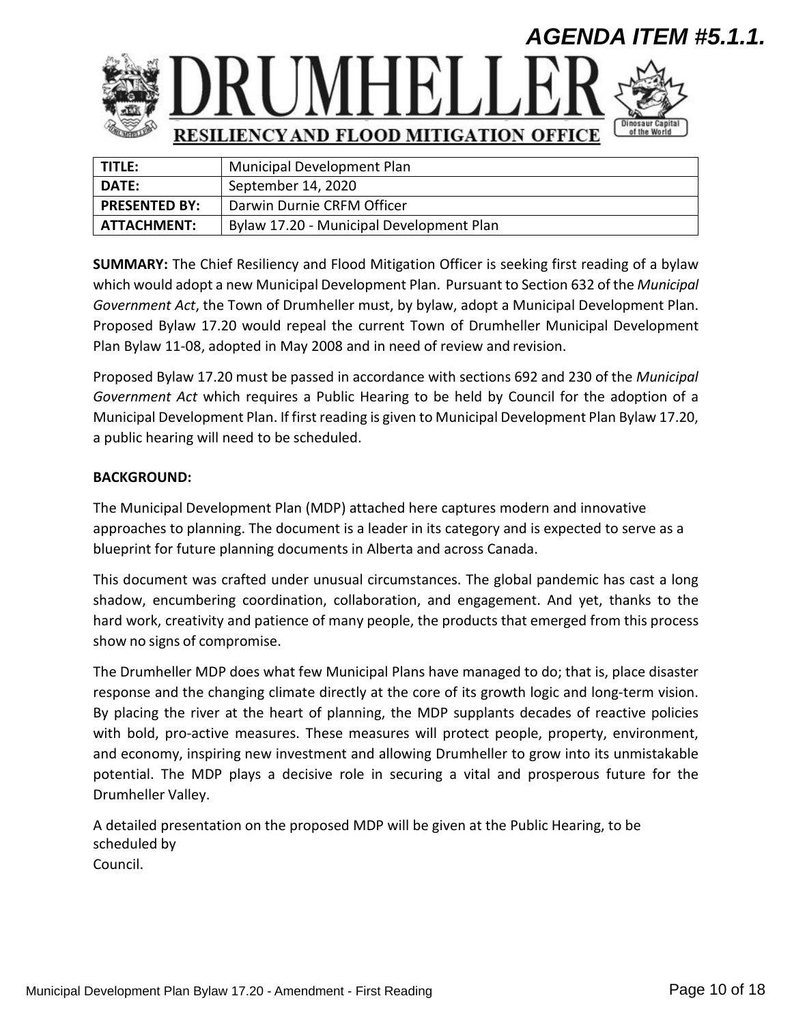<span id="page-9-0"></span>

| TITLE:               | Municipal Development Plan               |
|----------------------|------------------------------------------|
| <b>DATE:</b>         | September 14, 2020                       |
| <b>PRESENTED BY:</b> | Darwin Durnie CRFM Officer               |
| <b>ATTACHMENT:</b>   | Bylaw 17.20 - Municipal Development Plan |

**SUMMARY:** The Chief Resiliency and Flood Mitigation Officer is seeking first reading of a bylaw which would adopt a new Municipal Development Plan. Pursuant to Section 632 of the *Municipal Government Act*, the Town of Drumheller must, by bylaw, adopt a Municipal Development Plan. Proposed Bylaw 17.20 would repeal the current Town of Drumheller Municipal Development Plan Bylaw 11-08, adopted in May 2008 and in need of review and revision.

Proposed Bylaw 17.20 must be passed in accordance with sections 692 and 230 of the *Municipal Government Act* which requires a Public Hearing to be held by Council for the adoption of a Municipal Development Plan. If first reading is given to Municipal Development Plan Bylaw 17.20, a public hearing will need to be scheduled.

## **BACKGROUND:**

The Municipal Development Plan (MDP) attached here captures modern and innovative approaches to planning. The document is a leader in its category and is expected to serve as a blueprint for future planning documents in Alberta and across Canada.

This document was crafted under unusual circumstances. The global pandemic has cast a long shadow, encumbering coordination, collaboration, and engagement. And yet, thanks to the hard work, creativity and patience of many people, the products that emerged from this process show no signs of compromise.

The Drumheller MDP does what few Municipal Plans have managed to do; that is, place disaster response and the changing climate directly at the core of its growth logic and long-term vision. By placing the river at the heart of planning, the MDP supplants decades of reactive policies with bold, pro-active measures. These measures will protect people, property, environment, and economy, inspiring new investment and allowing Drumheller to grow into its unmistakable potential. The MDP plays a decisive role in securing a vital and prosperous future for the Drumheller Valley.

A detailed presentation on the proposed MDP will be given at the Public Hearing, to be scheduled by Council.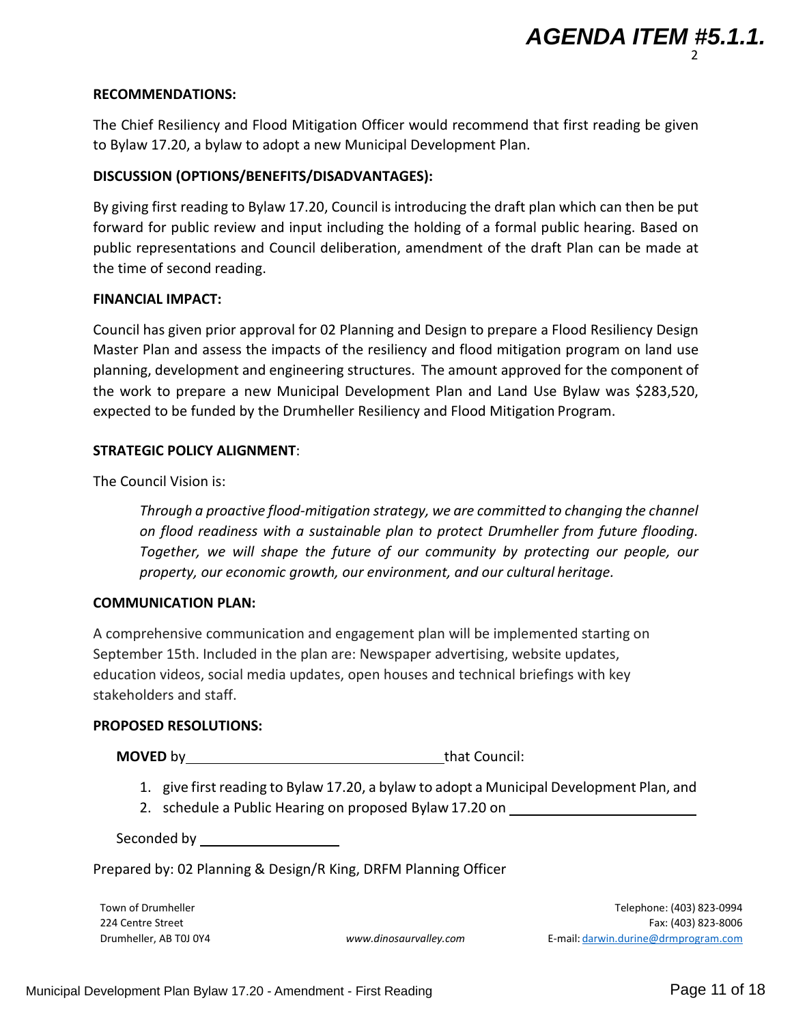## **RECOMMENDATIONS:**

The Chief Resiliency and Flood Mitigation Officer would recommend that first reading be given to Bylaw 17.20, a bylaw to adopt a new Municipal Development Plan.

## **DISCUSSION (OPTIONS/BENEFITS/DISADVANTAGES):**

By giving first reading to Bylaw 17.20, Council is introducing the draft plan which can then be put forward for public review and input including the holding of a formal public hearing. Based on public representations and Council deliberation, amendment of the draft Plan can be made at the time of second reading.

## **FINANCIAL IMPACT:**

Council has given prior approval for 02 Planning and Design to prepare a Flood Resiliency Design Master Plan and assess the impacts of the resiliency and flood mitigation program on land use planning, development and engineering structures. The amount approved for the component of the work to prepare a new Municipal Development Plan and Land Use Bylaw was \$283,520, expected to be funded by the Drumheller Resiliency and Flood Mitigation Program.

## **STRATEGIC POLICY ALIGNMENT**:

The Council Vision is:

*Through a proactive flood-mitigation strategy, we are committed to changing the channel on flood readiness with a sustainable plan to protect Drumheller from future flooding. Together, we will shape the future of our community by protecting our people, our property, our economic growth, our environment, and our cultural heritage.*

## **COMMUNICATION PLAN:**

A comprehensive communication and engagement plan will be implemented starting on September 15th. Included in the plan are: Newspaper advertising, website updates, education videos, social media updates, open houses and technical briefings with key stakeholders and staff.

## **PROPOSED RESOLUTIONS:**

**MOVED** by that Council:

- 1. give first reading to Bylaw 17.20, a bylaw to adopt a Municipal Development Plan, and
- 2. schedule a Public Hearing on proposed Bylaw 17.20 on

Seconded by

Prepared by: 02 Planning & Design/R King, DRFM Planning Officer

Town of Drumheller 224 Centre Street Drumheller, AB T0J 0Y4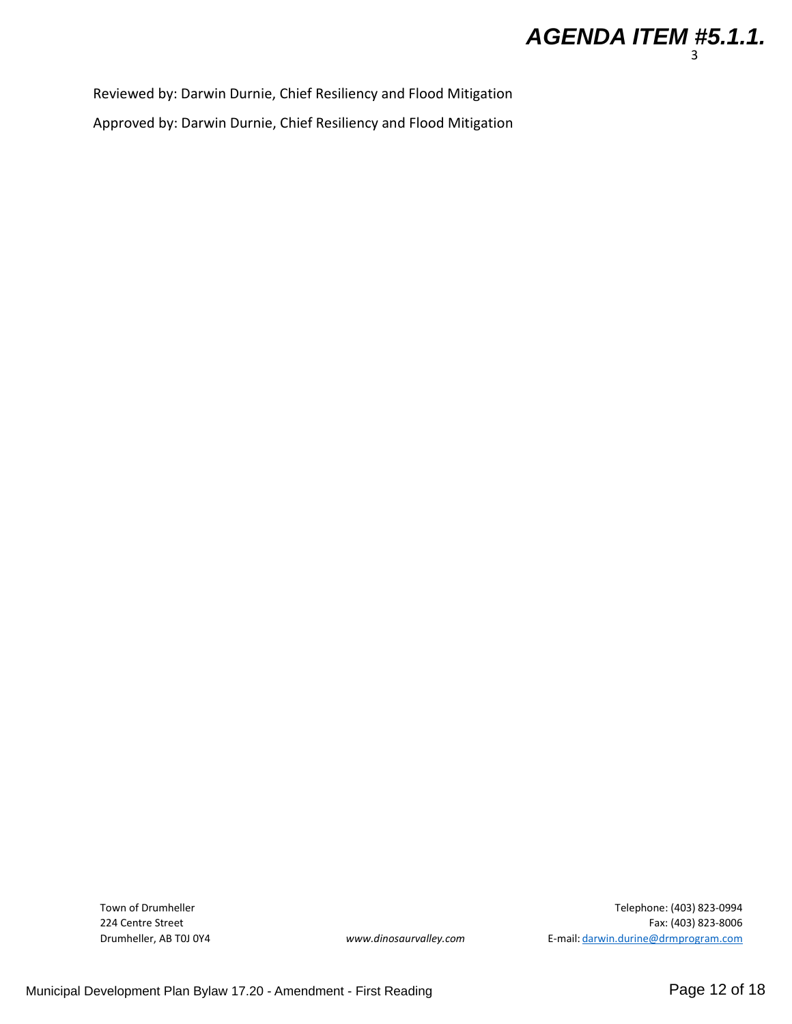

Reviewed by: Darwin Durnie, Chief Resiliency and Flood Mitigation

Approved by: Darwin Durnie, Chief Resiliency and Flood Mitigation

Town of Drumheller 224 Centre Street Drumheller, AB T0J 0Y4

Telephone: (403) 823-0994 Fax: (403) 823-8006 *[www.dinosaurvalley.com](http://www.dinosaurvalley.com/)* E-mail: [darwin.durine@drmprogram.com](mailto:darwin.durine@drmprogram.com)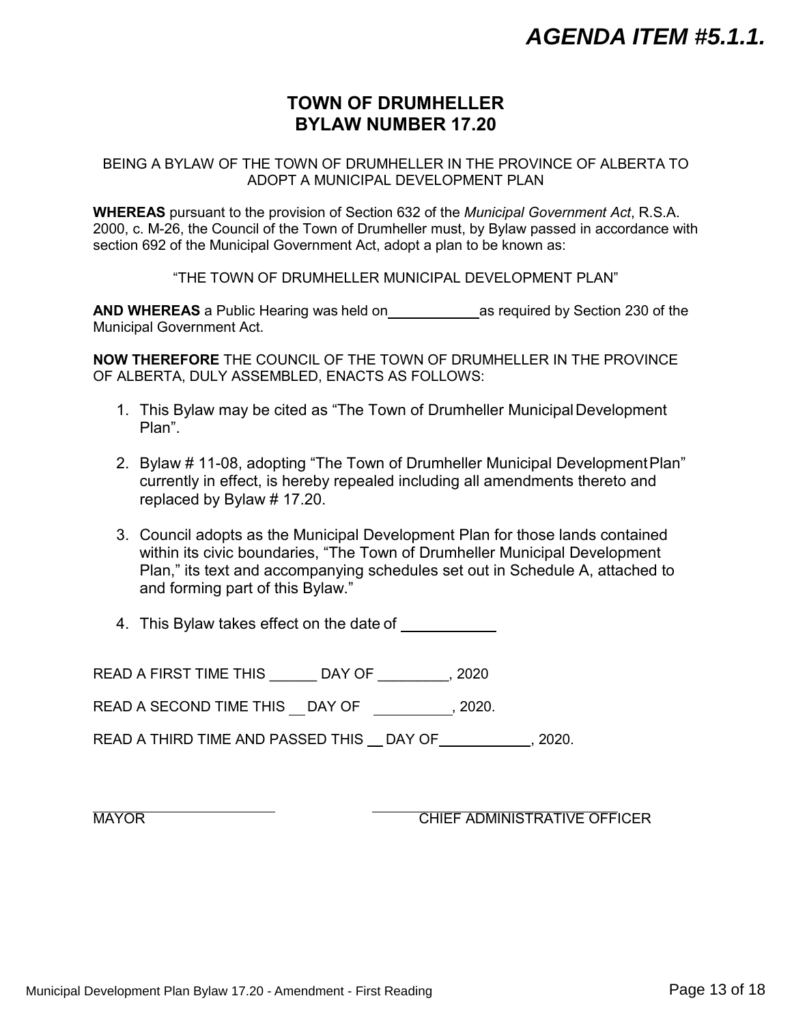## **TOWN OF DRUMHELLER BYLAW NUMBER 17.20**

BEING A BYLAW OF THE TOWN OF DRUMHELLER IN THE PROVINCE OF ALBERTA TO ADOPT A MUNICIPAL DEVELOPMENT PLAN

**WHEREAS** pursuant to the provision of Section 632 of the *Municipal Government Act*, R.S.A. 2000, c. M-26, the Council of the Town of Drumheller must, by Bylaw passed in accordance with section 692 of the Municipal Government Act, adopt a plan to be known as:

"THE TOWN OF DRUMHELLER MUNICIPAL DEVELOPMENT PLAN"

**AND WHEREAS** a Public Hearing was held on as required by Section 230 of the Municipal Government Act.

**NOW THEREFORE** THE COUNCIL OF THE TOWN OF DRUMHELLER IN THE PROVINCE OF ALBERTA, DULY ASSEMBLED, ENACTS AS FOLLOWS:

- 1. This Bylaw may be cited as "The Town of Drumheller MunicipalDevelopment Plan".
- 2. Bylaw # 11-08, adopting "The Town of Drumheller Municipal DevelopmentPlan" currently in effect, is hereby repealed including all amendments thereto and replaced by Bylaw # 17.20.
- 3. Council adopts as the Municipal Development Plan for those lands contained within its civic boundaries, "The Town of Drumheller Municipal Development Plan," its text and accompanying schedules set out in Schedule A, attached to and forming part of this Bylaw."
- 4. This Bylaw takes effect on the date of

READ A FIRST TIME THIS LAY OF THIS ALL 2020

READ A SECOND TIME THIS DAY OF , 2020.

READ A THIRD TIME AND PASSED THIS DAY OF , 2020.

MAYOR **CHIEF ADMINISTRATIVE OFFICER**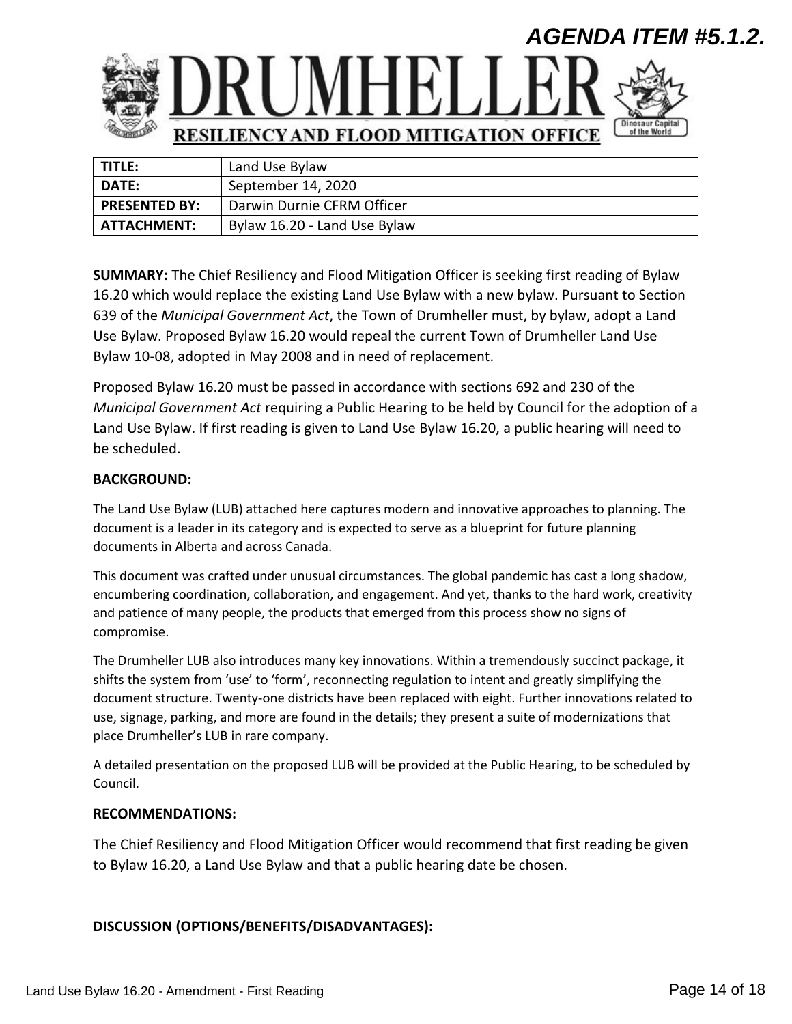<span id="page-13-0"></span>

| TITLE:               | Land Use Bylaw               |
|----------------------|------------------------------|
| <b>DATE:</b>         | September 14, 2020           |
| <b>PRESENTED BY:</b> | Darwin Durnie CFRM Officer   |
| ATTACHMENT:          | Bylaw 16.20 - Land Use Bylaw |

**SUMMARY:** The Chief Resiliency and Flood Mitigation Officer is seeking first reading of Bylaw 16.20 which would replace the existing Land Use Bylaw with a new bylaw. Pursuant to Section 639 of the *Municipal Government Act*, the Town of Drumheller must, by bylaw, adopt a Land Use Bylaw. Proposed Bylaw 16.20 would repeal the current Town of Drumheller Land Use Bylaw 10-08, adopted in May 2008 and in need of replacement.

Proposed Bylaw 16.20 must be passed in accordance with sections 692 and 230 of the *Municipal Government Act* requiring a Public Hearing to be held by Council for the adoption of a Land Use Bylaw. If first reading is given to Land Use Bylaw 16.20, a public hearing will need to be scheduled.

### **BACKGROUND:**

The Land Use Bylaw (LUB) attached here captures modern and innovative approaches to planning. The document is a leader in its category and is expected to serve as a blueprint for future planning documents in Alberta and across Canada.

This document was crafted under unusual circumstances. The global pandemic has cast a long shadow, encumbering coordination, collaboration, and engagement. And yet, thanks to the hard work, creativity and patience of many people, the products that emerged from this process show no signs of compromise.

The Drumheller LUB also introduces many key innovations. Within a tremendously succinct package, it shifts the system from 'use' to 'form', reconnecting regulation to intent and greatly simplifying the document structure. Twenty-one districts have been replaced with eight. Further innovations related to use, signage, parking, and more are found in the details; they present a suite of modernizations that place Drumheller's LUB in rare company.

A detailed presentation on the proposed LUB will be provided at the Public Hearing, to be scheduled by Council.

### **RECOMMENDATIONS:**

The Chief Resiliency and Flood Mitigation Officer would recommend that first reading be given to Bylaw 16.20, a Land Use Bylaw and that a public hearing date be chosen.

### **DISCUSSION (OPTIONS/BENEFITS/DISADVANTAGES):**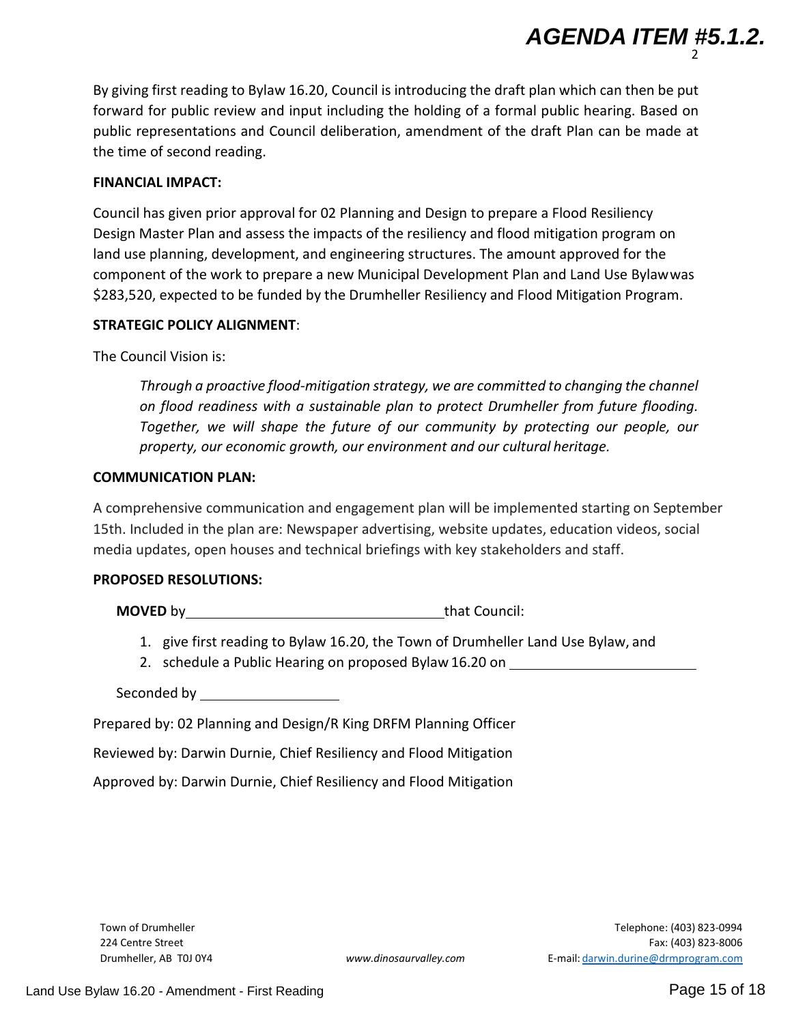By giving first reading to Bylaw 16.20, Council is introducing the draft plan which can then be put forward for public review and input including the holding of a formal public hearing. Based on public representations and Council deliberation, amendment of the draft Plan can be made at the time of second reading.

### **FINANCIAL IMPACT:**

Council has given prior approval for 02 Planning and Design to prepare a Flood Resiliency Design Master Plan and assess the impacts of the resiliency and flood mitigation program on land use planning, development, and engineering structures. The amount approved for the component of the work to prepare a new Municipal Development Plan and Land Use Bylawwas \$283,520, expected to be funded by the Drumheller Resiliency and Flood Mitigation Program.

### **STRATEGIC POLICY ALIGNMENT**:

The Council Vision is:

*Through a proactive flood-mitigation strategy, we are committed to changing the channel on flood readiness with a sustainable plan to protect Drumheller from future flooding. Together, we will shape the future of our community by protecting our people, our property, our economic growth, our environment and our cultural heritage.*

### **COMMUNICATION PLAN:**

A comprehensive communication and engagement plan will be implemented starting on September 15th. Included in the plan are: Newspaper advertising, website updates, education videos, social media updates, open houses and technical briefings with key stakeholders and staff.

### **PROPOSED RESOLUTIONS:**

**MOVED** by that Council:

- 1. give first reading to Bylaw 16.20, the Town of Drumheller Land Use Bylaw, and
- 2. schedule a Public Hearing on proposed Bylaw 16.20 on

Seconded by

Prepared by: 02 Planning and Design/R King DRFM Planning Officer

Reviewed by: Darwin Durnie, Chief Resiliency and Flood Mitigation

Approved by: Darwin Durnie, Chief Resiliency and Flood Mitigation

Town of Drumheller 224 Centre Street

2

*AGENDA ITEM #5.1.2.*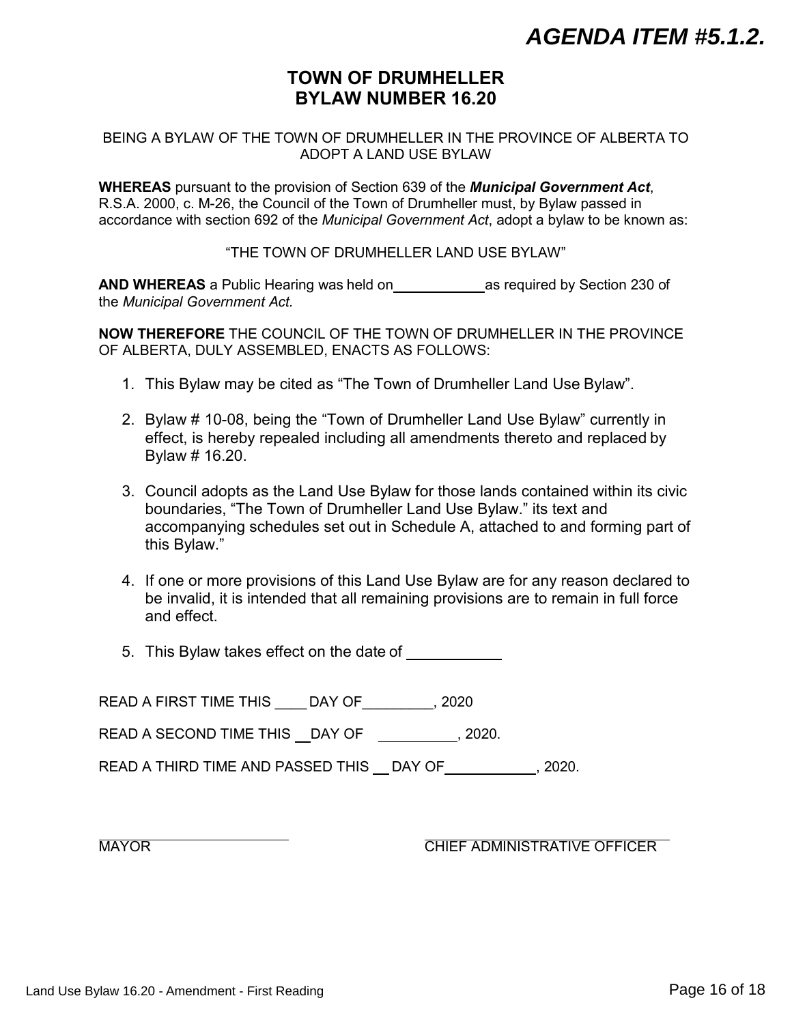## **TOWN OF DRUMHELLER BYLAW NUMBER 16.20**

### BEING A BYLAW OF THE TOWN OF DRUMHELLER IN THE PROVINCE OF ALBERTA TO ADOPT A LAND USE BYLAW

**WHEREAS** pursuant to the provision of Section 639 of the *Municipal Government Act*, R.S.A. 2000, c. M-26, the Council of the Town of Drumheller must, by Bylaw passed in accordance with section 692 of the *Municipal Government Act*, adopt a bylaw to be known as:

"THE TOWN OF DRUMHELLER LAND USE BYLAW"

**AND WHEREAS** a Public Hearing was held on as required by Section 230 of the *Municipal Government Act.*

**NOW THEREFORE** THE COUNCIL OF THE TOWN OF DRUMHELLER IN THE PROVINCE OF ALBERTA, DULY ASSEMBLED, ENACTS AS FOLLOWS:

- 1. This Bylaw may be cited as "The Town of Drumheller Land Use Bylaw".
- 2. Bylaw # 10-08, being the "Town of Drumheller Land Use Bylaw" currently in effect, is hereby repealed including all amendments thereto and replaced by Bylaw # 16.20.
- 3. Council adopts as the Land Use Bylaw for those lands contained within its civic boundaries, "The Town of Drumheller Land Use Bylaw." its text and accompanying schedules set out in Schedule A, attached to and forming part of this Bylaw."
- 4. If one or more provisions of this Land Use Bylaw are for any reason declared to be invalid, it is intended that all remaining provisions are to remain in full force and effect.
- 5. This Bylaw takes effect on the date of

READ A FIRST TIME THIS \_\_\_\_ DAY OF\_\_\_\_\_\_\_\_\_, 2020 READ A SECOND TIME THIS DAY OF , 2020. READ A THIRD TIME AND PASSED THIS \_ DAY OF \_\_\_\_\_\_\_\_\_\_, 2020.

MAYOR MAYOR CHIEF ADMINISTRATIVE OFFICER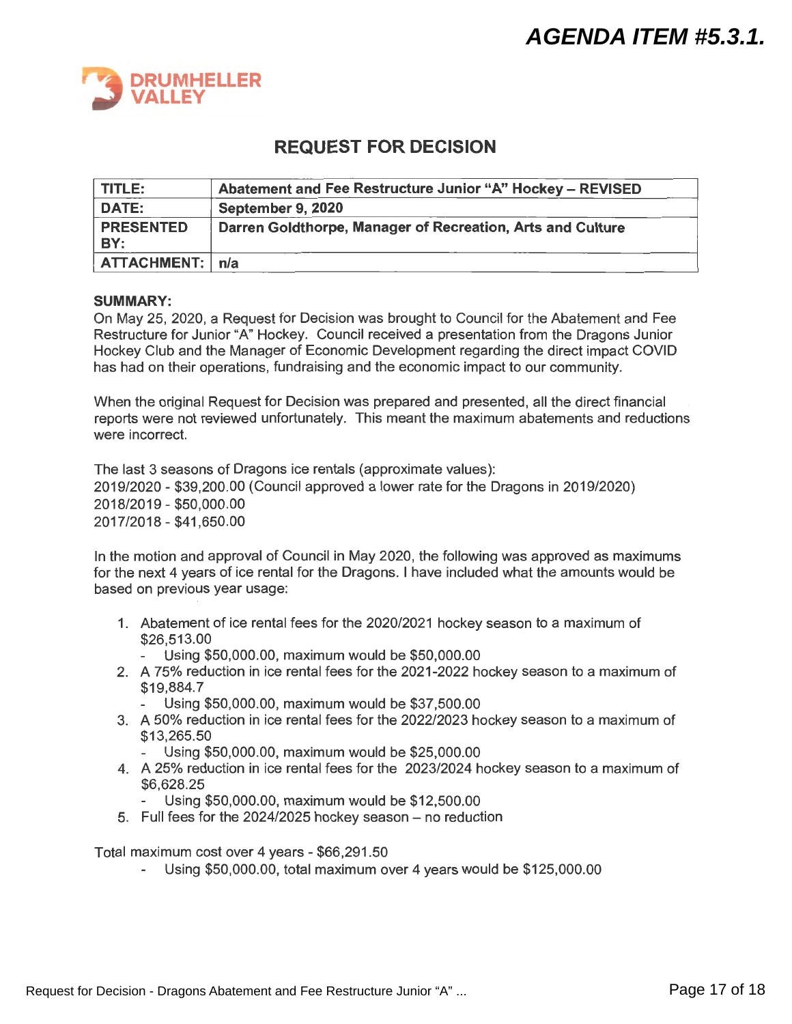<span id="page-16-0"></span>

## **REQUEST FOR DECISION**

| TITLE:                  | Abatement and Fee Restructure Junior "A" Hockey - REVISED  |
|-------------------------|------------------------------------------------------------|
| <b>DATE:</b>            | September 9, 2020                                          |
| <b>PRESENTED</b><br>BY: | Darren Goldthorpe, Manager of Recreation, Arts and Culture |
| ATTACHMENT:   n/a       |                                                            |

### **SUMMARY:**

On May 25, 2020, a Request for Decision was brought to Council for the Abatement and Fee Restructure for Junior "A" Hockey. Council received a presentation from the Dragons Junior Hockey Club and the Manager of Economic Development regarding the direct impact COVID has had on their operations, fundraising and the economic impact to our community.

When the original Request for Decision was prepared and presented, all the direct financial reports were not reviewed unfortunately. This meant the maximum abatements and reductions were incorrect.

The last 3 seasons of Dragons ice rentals (approximate values): 2019/2020 - \$39,200.00 (Council approved a lower rate for the Dragons in 2019/2020) 2018/2019 - \$50,000.00 2017/2018 - \$41,650.00

In the motion and approval of Council in May 2020, the following was approved as maximums for the next 4 years of ice rental for the Dragons. I have included what the amounts would be based on previous year usage:

- 1. Abatement of ice rental fees for the 2020/2021 hockey season to a maximum of \$26,513.00
	- Using \$50,000.00, maximum would be \$50,000.00
- 2. A 75% reduction in ice rental fees for the 2021-2022 hockey season to a maximum of \$19,884.7
	- Using \$50,000.00, maximum would be \$37,500.00
- 3. A 50% reduction in ice rental fees for the 2022/2023 hockey season to a maximum of \$13,265.50
	- Using \$50,000.00, maximum would be \$25,000.00
- 4. A 25% reduction in ice rental fees for the 2023/2024 hockey season to a maximum of \$6,628.25
	- Using \$50,000.00, maximum would be \$12,500.00
- $5.$  Full fees for the 2024/2025 hockey season  $-$  no reduction

Total maximum cost over 4 years - \$66,291.50

- Using \$50,000.00, total maximum over 4 years would be \$125,000.00